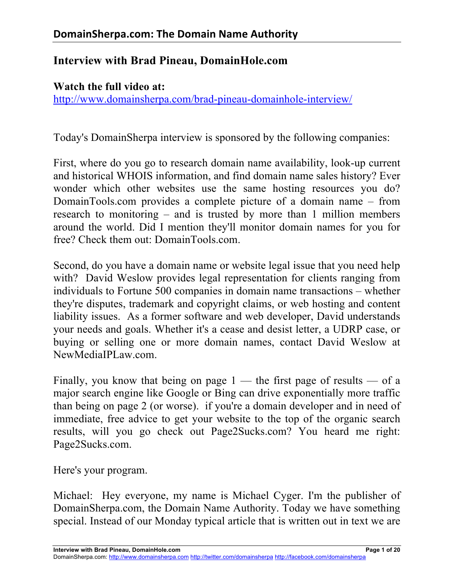# **Interview with Brad Pineau, DomainHole.com**

#### **Watch the full video at:**

http://www.domainsherpa.com/brad-pineau-domainhole-interview/

Today's DomainSherpa interview is sponsored by the following companies:

First, where do you go to research domain name availability, look-up current and historical WHOIS information, and find domain name sales history? Ever wonder which other websites use the same hosting resources you do? DomainTools.com provides a complete picture of a domain name – from research to monitoring – and is trusted by more than 1 million members around the world. Did I mention they'll monitor domain names for you for free? Check them out: DomainTools.com.

Second, do you have a domain name or website legal issue that you need help with? David Weslow provides legal representation for clients ranging from individuals to Fortune 500 companies in domain name transactions – whether they're disputes, trademark and copyright claims, or web hosting and content liability issues. As a former software and web developer, David understands your needs and goals. Whether it's a cease and desist letter, a UDRP case, or buying or selling one or more domain names, contact David Weslow at NewMediaIPLaw.com.

Finally, you know that being on page  $1$  — the first page of results — of a major search engine like Google or Bing can drive exponentially more traffic than being on page 2 (or worse). if you're a domain developer and in need of immediate, free advice to get your website to the top of the organic search results, will you go check out Page2Sucks.com? You heard me right: Page2Sucks.com.

Here's your program.

Michael: Hey everyone, my name is Michael Cyger. I'm the publisher of DomainSherpa.com, the Domain Name Authority. Today we have something special. Instead of our Monday typical article that is written out in text we are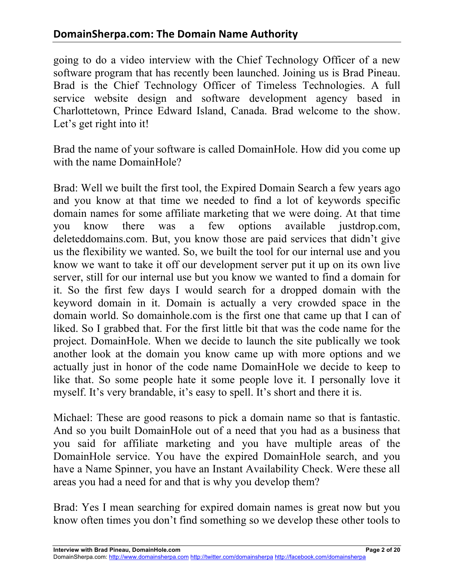going to do a video interview with the Chief Technology Officer of a new software program that has recently been launched. Joining us is Brad Pineau. Brad is the Chief Technology Officer of Timeless Technologies. A full service website design and software development agency based in Charlottetown, Prince Edward Island, Canada. Brad welcome to the show. Let's get right into it!

Brad the name of your software is called DomainHole. How did you come up with the name DomainHole?

Brad: Well we built the first tool, the Expired Domain Search a few years ago and you know at that time we needed to find a lot of keywords specific domain names for some affiliate marketing that we were doing. At that time you know there was a few options available justdrop.com, deleteddomains.com. But, you know those are paid services that didn't give us the flexibility we wanted. So, we built the tool for our internal use and you know we want to take it off our development server put it up on its own live server, still for our internal use but you know we wanted to find a domain for it. So the first few days I would search for a dropped domain with the keyword domain in it. Domain is actually a very crowded space in the domain world. So domainhole.com is the first one that came up that I can of liked. So I grabbed that. For the first little bit that was the code name for the project. DomainHole. When we decide to launch the site publically we took another look at the domain you know came up with more options and we actually just in honor of the code name DomainHole we decide to keep to like that. So some people hate it some people love it. I personally love it myself. It's very brandable, it's easy to spell. It's short and there it is.

Michael: These are good reasons to pick a domain name so that is fantastic. And so you built DomainHole out of a need that you had as a business that you said for affiliate marketing and you have multiple areas of the DomainHole service. You have the expired DomainHole search, and you have a Name Spinner, you have an Instant Availability Check. Were these all areas you had a need for and that is why you develop them?

Brad: Yes I mean searching for expired domain names is great now but you know often times you don't find something so we develop these other tools to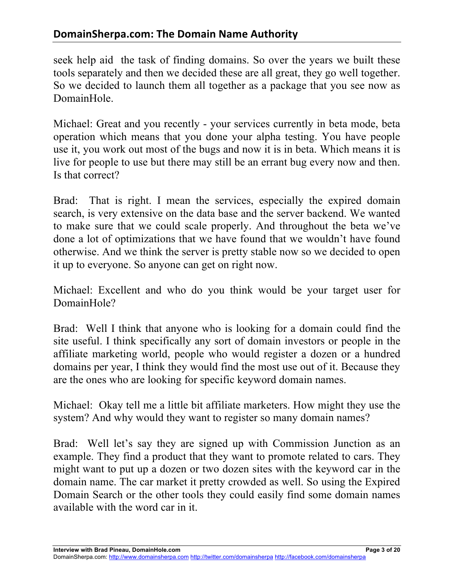seek help aid the task of finding domains. So over the years we built these tools separately and then we decided these are all great, they go well together. So we decided to launch them all together as a package that you see now as DomainHole.

Michael: Great and you recently - your services currently in beta mode, beta operation which means that you done your alpha testing. You have people use it, you work out most of the bugs and now it is in beta. Which means it is live for people to use but there may still be an errant bug every now and then. Is that correct?

Brad: That is right. I mean the services, especially the expired domain search, is very extensive on the data base and the server backend. We wanted to make sure that we could scale properly. And throughout the beta we've done a lot of optimizations that we have found that we wouldn't have found otherwise. And we think the server is pretty stable now so we decided to open it up to everyone. So anyone can get on right now.

Michael: Excellent and who do you think would be your target user for DomainHole?

Brad: Well I think that anyone who is looking for a domain could find the site useful. I think specifically any sort of domain investors or people in the affiliate marketing world, people who would register a dozen or a hundred domains per year, I think they would find the most use out of it. Because they are the ones who are looking for specific keyword domain names.

Michael: Okay tell me a little bit affiliate marketers. How might they use the system? And why would they want to register so many domain names?

Brad: Well let's say they are signed up with Commission Junction as an example. They find a product that they want to promote related to cars. They might want to put up a dozen or two dozen sites with the keyword car in the domain name. The car market it pretty crowded as well. So using the Expired Domain Search or the other tools they could easily find some domain names available with the word car in it.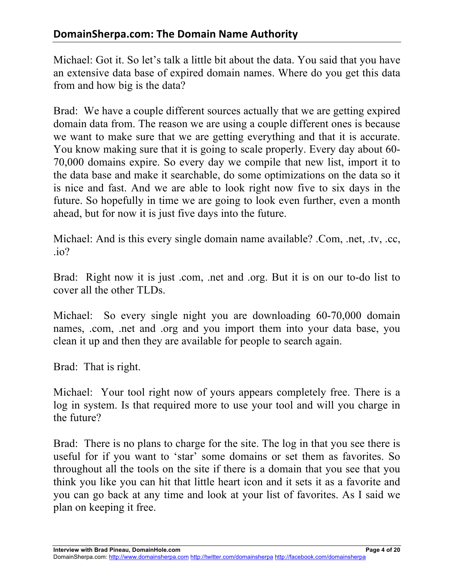Michael: Got it. So let's talk a little bit about the data. You said that you have an extensive data base of expired domain names. Where do you get this data from and how big is the data?

Brad: We have a couple different sources actually that we are getting expired domain data from. The reason we are using a couple different ones is because we want to make sure that we are getting everything and that it is accurate. You know making sure that it is going to scale properly. Every day about 60- 70,000 domains expire. So every day we compile that new list, import it to the data base and make it searchable, do some optimizations on the data so it is nice and fast. And we are able to look right now five to six days in the future. So hopefully in time we are going to look even further, even a month ahead, but for now it is just five days into the future.

Michael: And is this every single domain name available? .Com, .net, .tv, .cc, .io?

Brad: Right now it is just .com, .net and .org. But it is on our to-do list to cover all the other TLDs.

Michael: So every single night you are downloading 60-70,000 domain names, .com, .net and .org and you import them into your data base, you clean it up and then they are available for people to search again.

Brad: That is right.

Michael: Your tool right now of yours appears completely free. There is a log in system. Is that required more to use your tool and will you charge in the future?

Brad: There is no plans to charge for the site. The log in that you see there is useful for if you want to 'star' some domains or set them as favorites. So throughout all the tools on the site if there is a domain that you see that you think you like you can hit that little heart icon and it sets it as a favorite and you can go back at any time and look at your list of favorites. As I said we plan on keeping it free.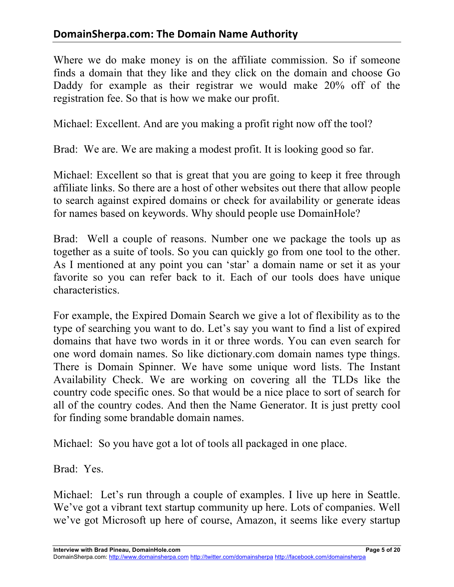Where we do make money is on the affiliate commission. So if someone finds a domain that they like and they click on the domain and choose Go Daddy for example as their registrar we would make 20% off of the registration fee. So that is how we make our profit.

Michael: Excellent. And are you making a profit right now off the tool?

Brad: We are. We are making a modest profit. It is looking good so far.

Michael: Excellent so that is great that you are going to keep it free through affiliate links. So there are a host of other websites out there that allow people to search against expired domains or check for availability or generate ideas for names based on keywords. Why should people use DomainHole?

Brad: Well a couple of reasons. Number one we package the tools up as together as a suite of tools. So you can quickly go from one tool to the other. As I mentioned at any point you can 'star' a domain name or set it as your favorite so you can refer back to it. Each of our tools does have unique characteristics.

For example, the Expired Domain Search we give a lot of flexibility as to the type of searching you want to do. Let's say you want to find a list of expired domains that have two words in it or three words. You can even search for one word domain names. So like dictionary.com domain names type things. There is Domain Spinner. We have some unique word lists. The Instant Availability Check. We are working on covering all the TLDs like the country code specific ones. So that would be a nice place to sort of search for all of the country codes. And then the Name Generator. It is just pretty cool for finding some brandable domain names.

Michael: So you have got a lot of tools all packaged in one place.

Brad: Yes.

Michael: Let's run through a couple of examples. I live up here in Seattle. We've got a vibrant text startup community up here. Lots of companies. Well we've got Microsoft up here of course, Amazon, it seems like every startup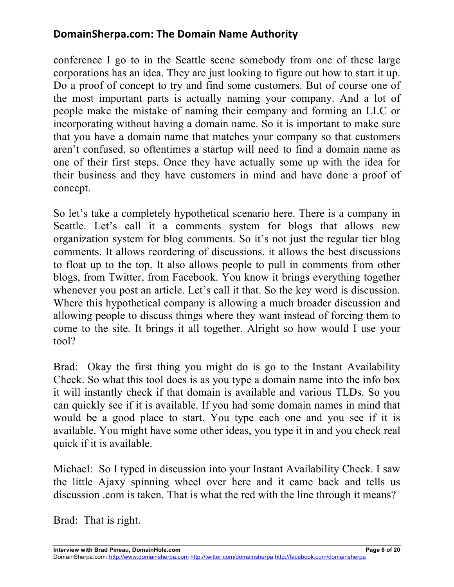conference I go to in the Seattle scene somebody from one of these large corporations has an idea. They are just looking to figure out how to start it up. Do a proof of concept to try and find some customers. But of course one of the most important parts is actually naming your company. And a lot of people make the mistake of naming their company and forming an LLC or incorporating without having a domain name. So it is important to make sure that you have a domain name that matches your company so that customers aren't confused. so oftentimes a startup will need to find a domain name as one of their first steps. Once they have actually some up with the idea for their business and they have customers in mind and have done a proof of concept.

So let's take a completely hypothetical scenario here. There is a company in Seattle. Let's call it a comments system for blogs that allows new organization system for blog comments. So it's not just the regular tier blog comments. It allows reordering of discussions. it allows the best discussions to float up to the top. It also allows people to pull in comments from other blogs, from Twitter, from Facebook. You know it brings everything together whenever you post an article. Let's call it that. So the key word is discussion. Where this hypothetical company is allowing a much broader discussion and allowing people to discuss things where they want instead of forcing them to come to the site. It brings it all together. Alright so how would I use your tool?

Brad: Okay the first thing you might do is go to the Instant Availability Check. So what this tool does is as you type a domain name into the info box it will instantly check if that domain is available and various TLDs. So you can quickly see if it is available. If you had some domain names in mind that would be a good place to start. You type each one and you see if it is available. You might have some other ideas, you type it in and you check real quick if it is available.

Michael: So I typed in discussion into your Instant Availability Check. I saw the little Ajaxy spinning wheel over here and it came back and tells us discussion .com is taken. That is what the red with the line through it means?

Brad: That is right.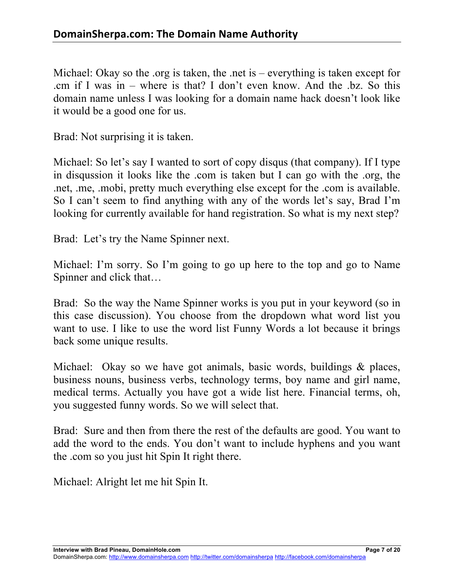Michael: Okay so the .org is taken, the .net is – everything is taken except for .cm if I was in – where is that? I don't even know. And the .bz. So this domain name unless I was looking for a domain name hack doesn't look like it would be a good one for us.

Brad: Not surprising it is taken.

Michael: So let's say I wanted to sort of copy disqus (that company). If I type in disqussion it looks like the .com is taken but I can go with the .org, the .net, .me, .mobi, pretty much everything else except for the .com is available. So I can't seem to find anything with any of the words let's say, Brad I'm looking for currently available for hand registration. So what is my next step?

Brad: Let's try the Name Spinner next.

Michael: I'm sorry. So I'm going to go up here to the top and go to Name Spinner and click that…

Brad: So the way the Name Spinner works is you put in your keyword (so in this case discussion). You choose from the dropdown what word list you want to use. I like to use the word list Funny Words a lot because it brings back some unique results.

Michael: Okay so we have got animals, basic words, buildings & places, business nouns, business verbs, technology terms, boy name and girl name, medical terms. Actually you have got a wide list here. Financial terms, oh, you suggested funny words. So we will select that.

Brad: Sure and then from there the rest of the defaults are good. You want to add the word to the ends. You don't want to include hyphens and you want the .com so you just hit Spin It right there.

Michael: Alright let me hit Spin It.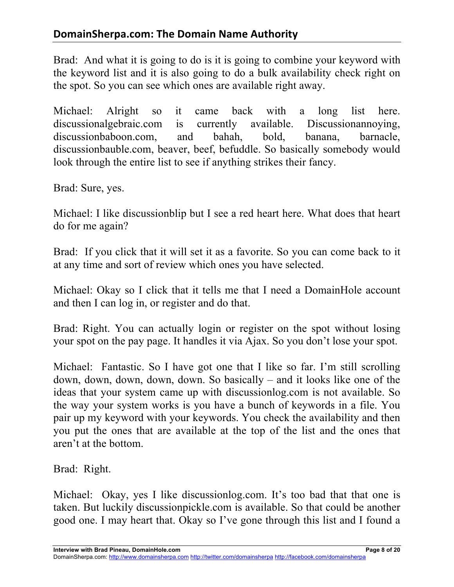Brad: And what it is going to do is it is going to combine your keyword with the keyword list and it is also going to do a bulk availability check right on the spot. So you can see which ones are available right away.

Michael: Alright so it came back with a long list here. discussionalgebraic.com is currently available. Discussionannoying, discussionbaboon.com, and bahah, bold, banana, barnacle, discussionbauble.com, beaver, beef, befuddle. So basically somebody would look through the entire list to see if anything strikes their fancy.

Brad: Sure, yes.

Michael: I like discussionblip but I see a red heart here. What does that heart do for me again?

Brad: If you click that it will set it as a favorite. So you can come back to it at any time and sort of review which ones you have selected.

Michael: Okay so I click that it tells me that I need a DomainHole account and then I can log in, or register and do that.

Brad: Right. You can actually login or register on the spot without losing your spot on the pay page. It handles it via Ajax. So you don't lose your spot.

Michael: Fantastic. So I have got one that I like so far. I'm still scrolling down, down, down, down, down. So basically – and it looks like one of the ideas that your system came up with discussionlog.com is not available. So the way your system works is you have a bunch of keywords in a file. You pair up my keyword with your keywords. You check the availability and then you put the ones that are available at the top of the list and the ones that aren't at the bottom.

Brad: Right.

Michael: Okay, yes I like discussionlog.com. It's too bad that that one is taken. But luckily discussionpickle.com is available. So that could be another good one. I may heart that. Okay so I've gone through this list and I found a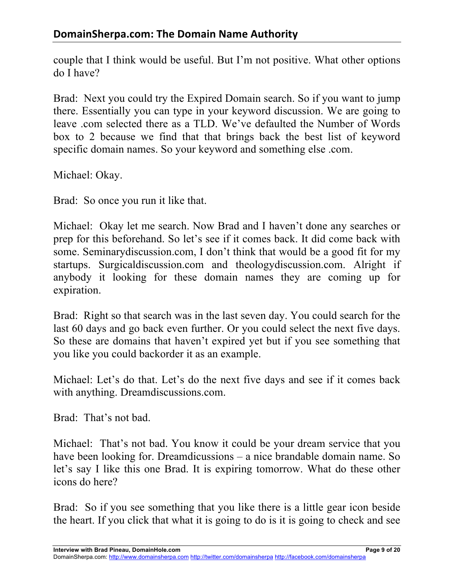couple that I think would be useful. But I'm not positive. What other options do I have?

Brad: Next you could try the Expired Domain search. So if you want to jump there. Essentially you can type in your keyword discussion. We are going to leave .com selected there as a TLD. We've defaulted the Number of Words box to 2 because we find that that brings back the best list of keyword specific domain names. So your keyword and something else .com.

Michael: Okay.

Brad: So once you run it like that.

Michael: Okay let me search. Now Brad and I haven't done any searches or prep for this beforehand. So let's see if it comes back. It did come back with some. Seminarydiscussion.com, I don't think that would be a good fit for my startups. Surgicaldiscussion.com and theologydiscussion.com. Alright if anybody it looking for these domain names they are coming up for expiration.

Brad: Right so that search was in the last seven day. You could search for the last 60 days and go back even further. Or you could select the next five days. So these are domains that haven't expired yet but if you see something that you like you could backorder it as an example.

Michael: Let's do that. Let's do the next five days and see if it comes back with anything. Dreamdiscussions.com.

Brad: That's not bad.

Michael: That's not bad. You know it could be your dream service that you have been looking for. Dreamdicussions – a nice brandable domain name. So let's say I like this one Brad. It is expiring tomorrow. What do these other icons do here?

Brad: So if you see something that you like there is a little gear icon beside the heart. If you click that what it is going to do is it is going to check and see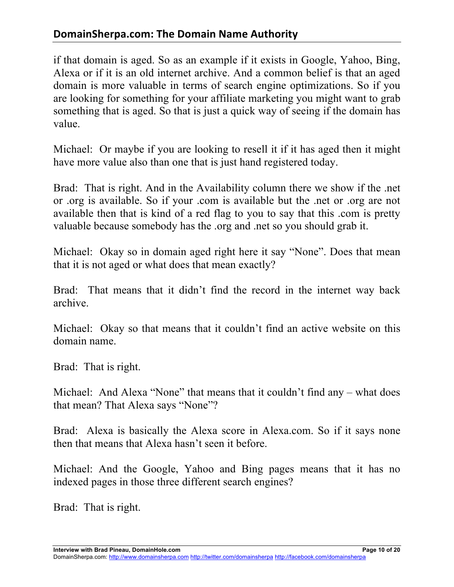# **DomainSherpa.com: The Domain Name Authority**

if that domain is aged. So as an example if it exists in Google, Yahoo, Bing, Alexa or if it is an old internet archive. And a common belief is that an aged domain is more valuable in terms of search engine optimizations. So if you are looking for something for your affiliate marketing you might want to grab something that is aged. So that is just a quick way of seeing if the domain has value.

Michael: Or maybe if you are looking to resell it if it has aged then it might have more value also than one that is just hand registered today.

Brad: That is right. And in the Availability column there we show if the .net or .org is available. So if your .com is available but the .net or .org are not available then that is kind of a red flag to you to say that this .com is pretty valuable because somebody has the .org and .net so you should grab it.

Michael: Okay so in domain aged right here it say "None". Does that mean that it is not aged or what does that mean exactly?

Brad: That means that it didn't find the record in the internet way back archive.

Michael: Okay so that means that it couldn't find an active website on this domain name.

Brad: That is right.

Michael: And Alexa "None" that means that it couldn't find any – what does that mean? That Alexa says "None"?

Brad: Alexa is basically the Alexa score in Alexa.com. So if it says none then that means that Alexa hasn't seen it before.

Michael: And the Google, Yahoo and Bing pages means that it has no indexed pages in those three different search engines?

Brad: That is right.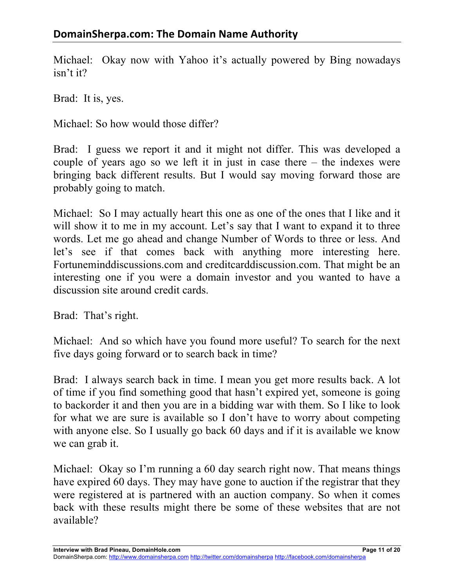Michael: Okay now with Yahoo it's actually powered by Bing nowadays isn't it?

Brad: It is, yes.

Michael: So how would those differ?

Brad: I guess we report it and it might not differ. This was developed a couple of years ago so we left it in just in case there – the indexes were bringing back different results. But I would say moving forward those are probably going to match.

Michael: So I may actually heart this one as one of the ones that I like and it will show it to me in my account. Let's say that I want to expand it to three words. Let me go ahead and change Number of Words to three or less. And let's see if that comes back with anything more interesting here. Fortuneminddiscussions.com and creditcarddiscussion.com. That might be an interesting one if you were a domain investor and you wanted to have a discussion site around credit cards.

Brad: That's right.

Michael: And so which have you found more useful? To search for the next five days going forward or to search back in time?

Brad: I always search back in time. I mean you get more results back. A lot of time if you find something good that hasn't expired yet, someone is going to backorder it and then you are in a bidding war with them. So I like to look for what we are sure is available so I don't have to worry about competing with anyone else. So I usually go back 60 days and if it is available we know we can grab it.

Michael: Okay so I'm running a 60 day search right now. That means things have expired 60 days. They may have gone to auction if the registrar that they were registered at is partnered with an auction company. So when it comes back with these results might there be some of these websites that are not available?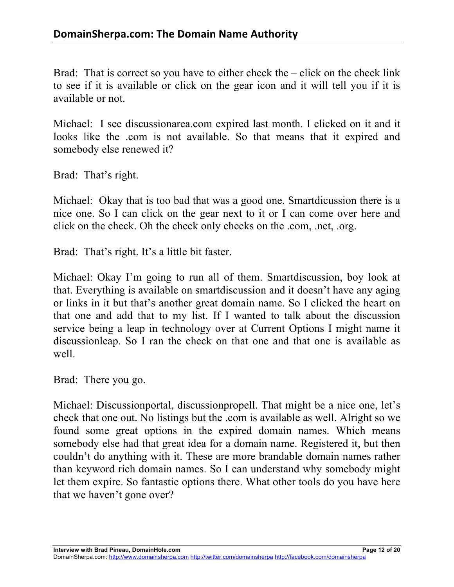Brad: That is correct so you have to either check the – click on the check link to see if it is available or click on the gear icon and it will tell you if it is available or not.

Michael: I see discussionarea.com expired last month. I clicked on it and it looks like the .com is not available. So that means that it expired and somebody else renewed it?

Brad: That's right.

Michael: Okay that is too bad that was a good one. Smartdicussion there is a nice one. So I can click on the gear next to it or I can come over here and click on the check. Oh the check only checks on the .com, .net, .org.

Brad: That's right. It's a little bit faster.

Michael: Okay I'm going to run all of them. Smartdiscussion, boy look at that. Everything is available on smartdiscussion and it doesn't have any aging or links in it but that's another great domain name. So I clicked the heart on that one and add that to my list. If I wanted to talk about the discussion service being a leap in technology over at Current Options I might name it discussionleap. So I ran the check on that one and that one is available as well.

Brad: There you go.

Michael: Discussionportal, discussionpropell. That might be a nice one, let's check that one out. No listings but the .com is available as well. Alright so we found some great options in the expired domain names. Which means somebody else had that great idea for a domain name. Registered it, but then couldn't do anything with it. These are more brandable domain names rather than keyword rich domain names. So I can understand why somebody might let them expire. So fantastic options there. What other tools do you have here that we haven't gone over?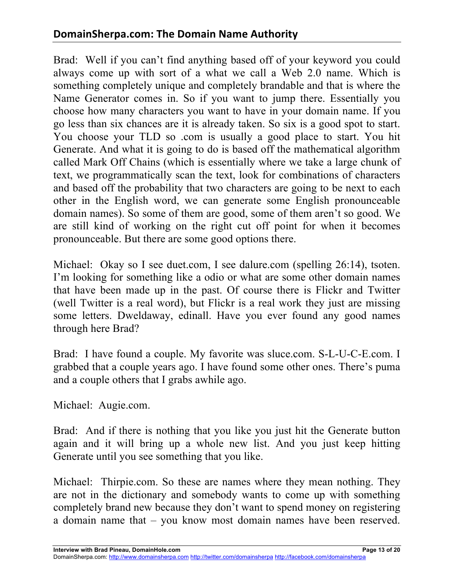# **DomainSherpa.com: The Domain Name Authority**

Brad: Well if you can't find anything based off of your keyword you could always come up with sort of a what we call a Web 2.0 name. Which is something completely unique and completely brandable and that is where the Name Generator comes in. So if you want to jump there. Essentially you choose how many characters you want to have in your domain name. If you go less than six chances are it is already taken. So six is a good spot to start. You choose your TLD so .com is usually a good place to start. You hit Generate. And what it is going to do is based off the mathematical algorithm called Mark Off Chains (which is essentially where we take a large chunk of text, we programmatically scan the text, look for combinations of characters and based off the probability that two characters are going to be next to each other in the English word, we can generate some English pronounceable domain names). So some of them are good, some of them aren't so good. We are still kind of working on the right cut off point for when it becomes pronounceable. But there are some good options there.

Michael: Okay so I see duet.com, I see dalure.com (spelling 26:14), tsoten. I'm looking for something like a odio or what are some other domain names that have been made up in the past. Of course there is Flickr and Twitter (well Twitter is a real word), but Flickr is a real work they just are missing some letters. Dweldaway, edinall. Have you ever found any good names through here Brad?

Brad: I have found a couple. My favorite was sluce.com. S-L-U-C-E.com. I grabbed that a couple years ago. I have found some other ones. There's puma and a couple others that I grabs awhile ago.

Michael: Augie.com.

Brad: And if there is nothing that you like you just hit the Generate button again and it will bring up a whole new list. And you just keep hitting Generate until you see something that you like.

Michael: Thirpie.com. So these are names where they mean nothing. They are not in the dictionary and somebody wants to come up with something completely brand new because they don't want to spend money on registering a domain name that – you know most domain names have been reserved.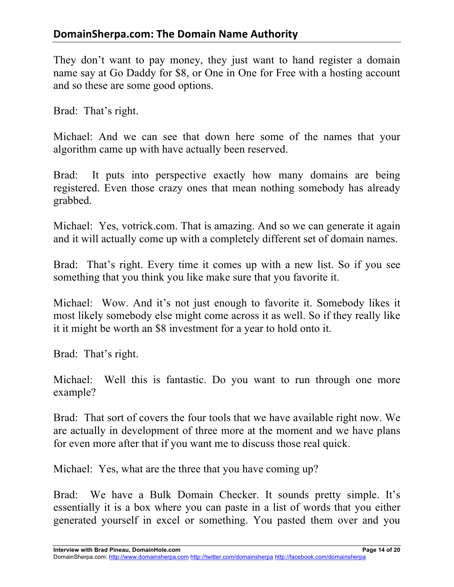They don't want to pay money, they just want to hand register a domain name say at Go Daddy for \$8, or One in One for Free with a hosting account and so these are some good options.

Brad: That's right.

Michael: And we can see that down here some of the names that your algorithm came up with have actually been reserved.

Brad: It puts into perspective exactly how many domains are being registered. Even those crazy ones that mean nothing somebody has already grabbed.

Michael: Yes, votrick.com. That is amazing. And so we can generate it again and it will actually come up with a completely different set of domain names.

Brad: That's right. Every time it comes up with a new list. So if you see something that you think you like make sure that you favorite it.

Michael: Wow. And it's not just enough to favorite it. Somebody likes it most likely somebody else might come across it as well. So if they really like it it might be worth an \$8 investment for a year to hold onto it.

Brad: That's right.

Michael: Well this is fantastic. Do you want to run through one more example?

Brad: That sort of covers the four tools that we have available right now. We are actually in development of three more at the moment and we have plans for even more after that if you want me to discuss those real quick.

Michael: Yes, what are the three that you have coming up?

Brad: We have a Bulk Domain Checker. It sounds pretty simple. It's essentially it is a box where you can paste in a list of words that you either generated yourself in excel or something. You pasted them over and you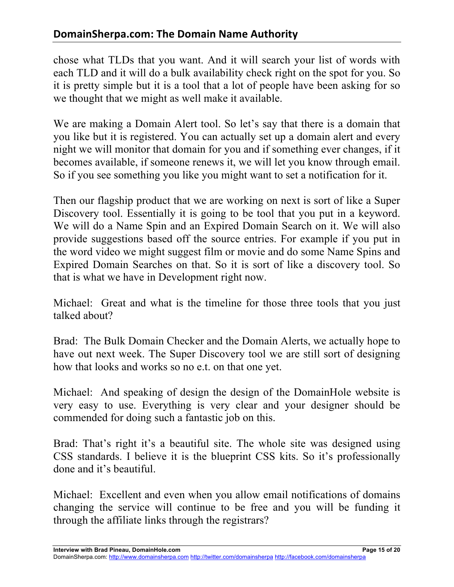chose what TLDs that you want. And it will search your list of words with each TLD and it will do a bulk availability check right on the spot for you. So it is pretty simple but it is a tool that a lot of people have been asking for so we thought that we might as well make it available.

We are making a Domain Alert tool. So let's say that there is a domain that you like but it is registered. You can actually set up a domain alert and every night we will monitor that domain for you and if something ever changes, if it becomes available, if someone renews it, we will let you know through email. So if you see something you like you might want to set a notification for it.

Then our flagship product that we are working on next is sort of like a Super Discovery tool. Essentially it is going to be tool that you put in a keyword. We will do a Name Spin and an Expired Domain Search on it. We will also provide suggestions based off the source entries. For example if you put in the word video we might suggest film or movie and do some Name Spins and Expired Domain Searches on that. So it is sort of like a discovery tool. So that is what we have in Development right now.

Michael: Great and what is the timeline for those three tools that you just talked about?

Brad: The Bulk Domain Checker and the Domain Alerts, we actually hope to have out next week. The Super Discovery tool we are still sort of designing how that looks and works so no e.t. on that one yet.

Michael: And speaking of design the design of the DomainHole website is very easy to use. Everything is very clear and your designer should be commended for doing such a fantastic job on this.

Brad: That's right it's a beautiful site. The whole site was designed using CSS standards. I believe it is the blueprint CSS kits. So it's professionally done and it's beautiful.

Michael: Excellent and even when you allow email notifications of domains changing the service will continue to be free and you will be funding it through the affiliate links through the registrars?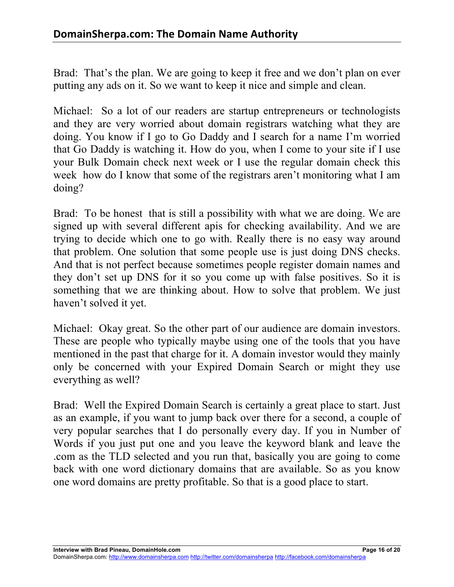Brad: That's the plan. We are going to keep it free and we don't plan on ever putting any ads on it. So we want to keep it nice and simple and clean.

Michael: So a lot of our readers are startup entrepreneurs or technologists and they are very worried about domain registrars watching what they are doing. You know if I go to Go Daddy and I search for a name I'm worried that Go Daddy is watching it. How do you, when I come to your site if I use your Bulk Domain check next week or I use the regular domain check this week how do I know that some of the registrars aren't monitoring what I am doing?

Brad: To be honest that is still a possibility with what we are doing. We are signed up with several different apis for checking availability. And we are trying to decide which one to go with. Really there is no easy way around that problem. One solution that some people use is just doing DNS checks. And that is not perfect because sometimes people register domain names and they don't set up DNS for it so you come up with false positives. So it is something that we are thinking about. How to solve that problem. We just haven't solved it yet.

Michael: Okay great. So the other part of our audience are domain investors. These are people who typically maybe using one of the tools that you have mentioned in the past that charge for it. A domain investor would they mainly only be concerned with your Expired Domain Search or might they use everything as well?

Brad: Well the Expired Domain Search is certainly a great place to start. Just as an example, if you want to jump back over there for a second, a couple of very popular searches that I do personally every day. If you in Number of Words if you just put one and you leave the keyword blank and leave the .com as the TLD selected and you run that, basically you are going to come back with one word dictionary domains that are available. So as you know one word domains are pretty profitable. So that is a good place to start.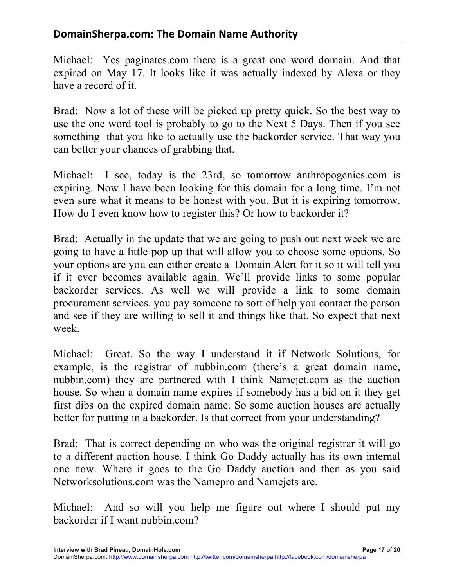Michael: Yes paginates.com there is a great one word domain. And that expired on May 17. It looks like it was actually indexed by Alexa or they have a record of it.

Brad: Now a lot of these will be picked up pretty quick. So the best way to use the one word tool is probably to go to the Next 5 Days. Then if you see something that you like to actually use the backorder service. That way you can better your chances of grabbing that.

Michael: I see, today is the 23rd, so tomorrow anthropogenics.com is expiring. Now I have been looking for this domain for a long time. I'm not even sure what it means to be honest with you. But it is expiring tomorrow. How do I even know how to register this? Or how to backorder it?

Brad: Actually in the update that we are going to push out next week we are going to have a little pop up that will allow you to choose some options. So your options are you can either create a Domain Alert for it so it will tell you if it ever becomes available again. We'll provide links to some popular backorder services. As well we will provide a link to some domain procurement services. you pay someone to sort of help you contact the person and see if they are willing to sell it and things like that. So expect that next week.

Michael: Great. So the way I understand it if Network Solutions, for example, is the registrar of nubbin.com (there's a great domain name, nubbin.com) they are partnered with I think Namejet.com as the auction house. So when a domain name expires if somebody has a bid on it they get first dibs on the expired domain name. So some auction houses are actually better for putting in a backorder. Is that correct from your understanding?

Brad: That is correct depending on who was the original registrar it will go to a different auction house. I think Go Daddy actually has its own internal one now. Where it goes to the Go Daddy auction and then as you said Networksolutions.com was the Namepro and Namejets are.

Michael: And so will you help me figure out where I should put my backorder if I want nubbin.com?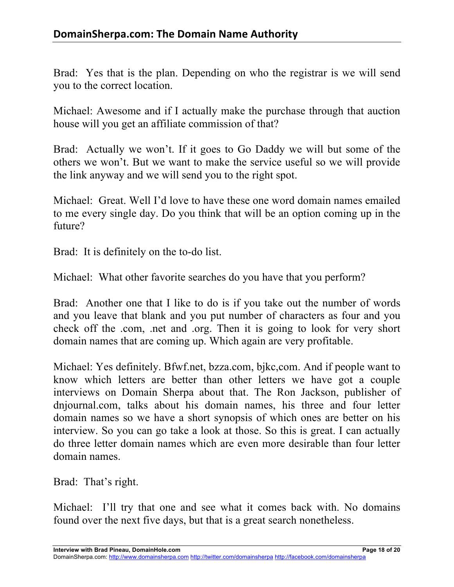Brad: Yes that is the plan. Depending on who the registrar is we will send you to the correct location.

Michael: Awesome and if I actually make the purchase through that auction house will you get an affiliate commission of that?

Brad: Actually we won't. If it goes to Go Daddy we will but some of the others we won't. But we want to make the service useful so we will provide the link anyway and we will send you to the right spot.

Michael: Great. Well I'd love to have these one word domain names emailed to me every single day. Do you think that will be an option coming up in the future?

Brad: It is definitely on the to-do list.

Michael: What other favorite searches do you have that you perform?

Brad: Another one that I like to do is if you take out the number of words and you leave that blank and you put number of characters as four and you check off the .com, .net and .org. Then it is going to look for very short domain names that are coming up. Which again are very profitable.

Michael: Yes definitely. Bfwf.net, bzza.com, bjkc,com. And if people want to know which letters are better than other letters we have got a couple interviews on Domain Sherpa about that. The Ron Jackson, publisher of dnjournal.com, talks about his domain names, his three and four letter domain names so we have a short synopsis of which ones are better on his interview. So you can go take a look at those. So this is great. I can actually do three letter domain names which are even more desirable than four letter domain names.

Brad: That's right.

Michael: I'll try that one and see what it comes back with. No domains found over the next five days, but that is a great search nonetheless.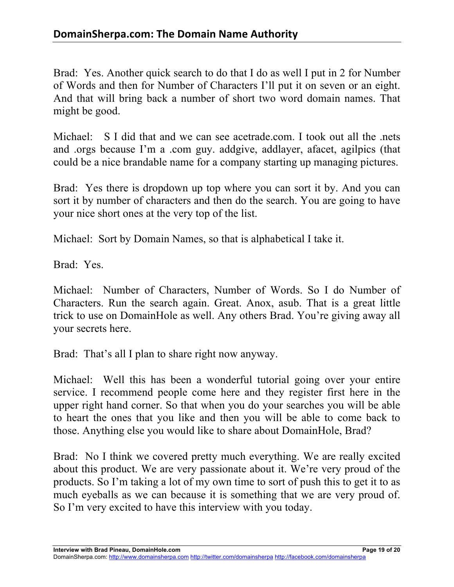Brad: Yes. Another quick search to do that I do as well I put in 2 for Number of Words and then for Number of Characters I'll put it on seven or an eight. And that will bring back a number of short two word domain names. That might be good.

Michael: S I did that and we can see acetrade.com. I took out all the .nets and .orgs because I'm a .com guy. addgive, addlayer, afacet, agilpics (that could be a nice brandable name for a company starting up managing pictures.

Brad: Yes there is dropdown up top where you can sort it by. And you can sort it by number of characters and then do the search. You are going to have your nice short ones at the very top of the list.

Michael: Sort by Domain Names, so that is alphabetical I take it.

Brad: Yes.

Michael: Number of Characters, Number of Words. So I do Number of Characters. Run the search again. Great. Anox, asub. That is a great little trick to use on DomainHole as well. Any others Brad. You're giving away all your secrets here.

Brad: That's all I plan to share right now anyway.

Michael: Well this has been a wonderful tutorial going over your entire service. I recommend people come here and they register first here in the upper right hand corner. So that when you do your searches you will be able to heart the ones that you like and then you will be able to come back to those. Anything else you would like to share about DomainHole, Brad?

Brad: No I think we covered pretty much everything. We are really excited about this product. We are very passionate about it. We're very proud of the products. So I'm taking a lot of my own time to sort of push this to get it to as much eyeballs as we can because it is something that we are very proud of. So I'm very excited to have this interview with you today.